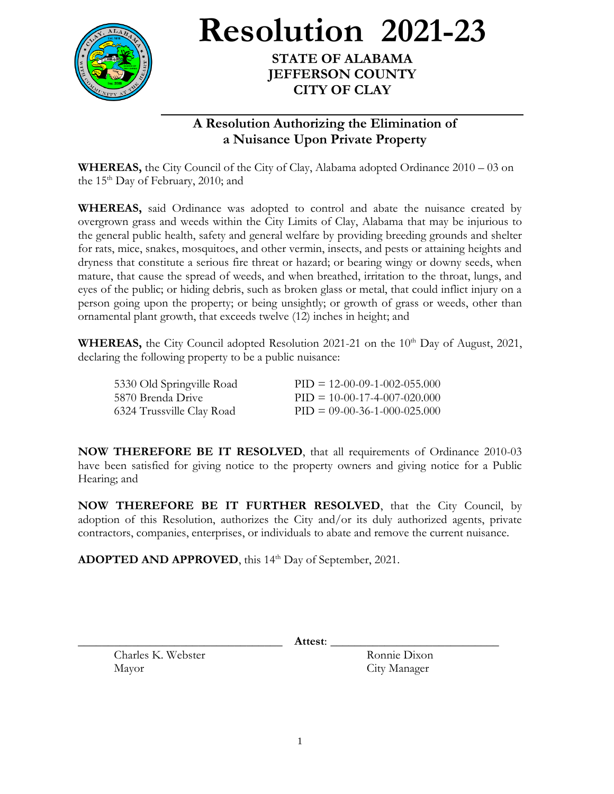

**Resolution 2021-23**

**STATE OF ALABAMA JEFFERSON COUNTY CITY OF CLAY**

## **A Resolution Authorizing the Elimination of a Nuisance Upon Private Property**

**WHEREAS,** the City Council of the City of Clay, Alabama adopted Ordinance 2010 – 03 on the  $15<sup>th</sup>$  Day of February, 2010; and

**WHEREAS,** said Ordinance was adopted to control and abate the nuisance created by overgrown grass and weeds within the City Limits of Clay, Alabama that may be injurious to the general public health, safety and general welfare by providing breeding grounds and shelter for rats, mice, snakes, mosquitoes, and other vermin, insects, and pests or attaining heights and dryness that constitute a serious fire threat or hazard; or bearing wingy or downy seeds, when mature, that cause the spread of weeds, and when breathed, irritation to the throat, lungs, and eyes of the public; or hiding debris, such as broken glass or metal, that could inflict injury on a person going upon the property; or being unsightly; or growth of grass or weeds, other than ornamental plant growth, that exceeds twelve (12) inches in height; and

WHEREAS, the City Council adopted Resolution 2021-21 on the 10<sup>th</sup> Day of August, 2021, declaring the following property to be a public nuisance:

| 5330 Old Springville Road | $PID = 12-00-09-1-002-055.000$ |
|---------------------------|--------------------------------|
| 5870 Brenda Drive         | $PID = 10-00-17-4-007-020.000$ |
| 6324 Trussville Clay Road | $PID = 09-00-36-1-000-025.000$ |

**NOW THEREFORE BE IT RESOLVED**, that all requirements of Ordinance 2010-03 have been satisfied for giving notice to the property owners and giving notice for a Public Hearing; and

**NOW THEREFORE BE IT FURTHER RESOLVED**, that the City Council, by adoption of this Resolution, authorizes the City and/or its duly authorized agents, private contractors, companies, enterprises, or individuals to abate and remove the current nuisance.

**ADOPTED AND APPROVED**, this 14th Day of September, 2021.

Charles K. Webster Ronnie Dixon Mayor City Manager

\_\_\_\_\_\_\_\_\_\_\_\_\_\_\_\_\_\_\_\_\_\_\_\_\_\_\_\_\_\_\_\_\_\_ **Attest**: \_\_\_\_\_\_\_\_\_\_\_\_\_\_\_\_\_\_\_\_\_\_\_\_\_\_\_\_